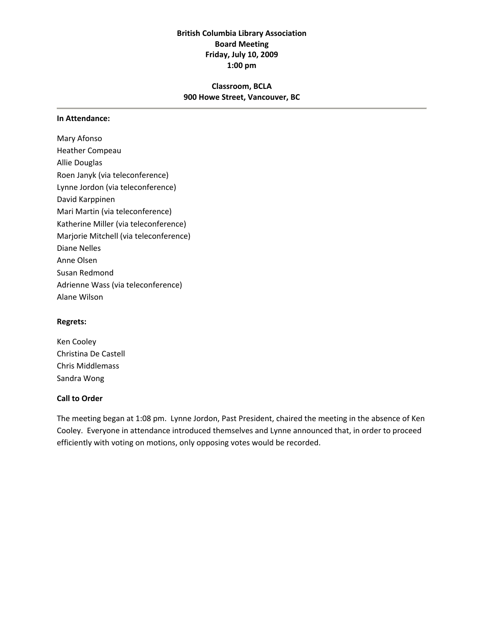# **British Columbia Library Association Board Meeting Friday, July 10, 2009 1:00 pm**

# **Classroom, BCLA 900 Howe Street, Vancouver, BC**

#### **In Attendance:**

Mary Afonso Heather Compeau Allie Douglas Roen Janyk (via teleconference) Lynne Jordon (via teleconference) David Karppinen Mari Martin (via teleconference) Katherine Miller (via teleconference) Marjorie Mitchell (via teleconference) Diane Nelles Anne Olsen Susan Redmond Adrienne Wass (via teleconference) Alane Wilson

#### **Regrets:**

Ken Cooley Christina De Castell Chris Middlemass Sandra Wong

#### **Call to Order**

The meeting began at 1:08 pm. Lynne Jordon, Past President, chaired the meeting in the absence of Ken Cooley. Everyone in attendance introduced themselves and Lynne announced that, in order to proceed efficiently with voting on motions, only opposing votes would be recorded.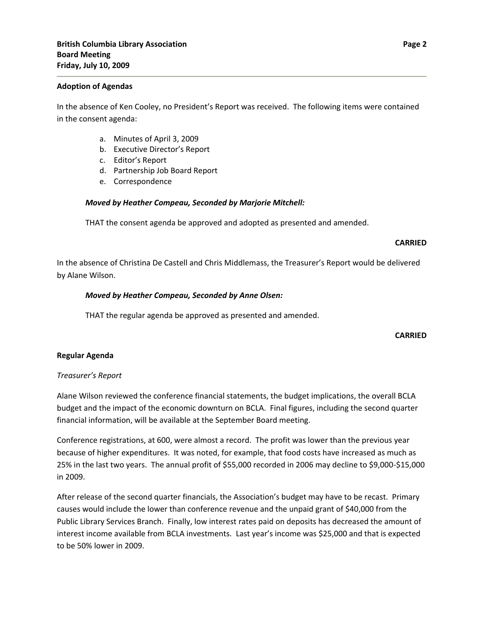#### **Adoption of Agendas**

In the absence of Ken Cooley, no President's Report was received. The following items were contained in the consent agenda:

- a. Minutes of April 3, 2009
- b. Executive Director's Report
- c. Editor's Report
- d. Partnership Job Board Report
- e. Correspondence

## *Moved by Heather Compeau, Seconded by Marjorie Mitchell:*

THAT the consent agenda be approved and adopted as presented and amended.

#### **CARRIED**

In the absence of Christina De Castell and Chris Middlemass, the Treasurer's Report would be delivered by Alane Wilson.

## *Moved by Heather Compeau, Seconded by Anne Olsen:*

THAT the regular agenda be approved as presented and amended.

#### **CARRIED**

## **Regular Agenda**

## *Treasurer's Report*

Alane Wilson reviewed the conference financial statements, the budget implications, the overall BCLA budget and the impact of the economic downturn on BCLA. Final figures, including the second quarter financial information, will be available at the September Board meeting.

Conference registrations, at 600, were almost a record. The profit was lower than the previous year because of higher expenditures. It was noted, for example, that food costs have increased as much as 25% in the last two years. The annual profit of \$55,000 recorded in 2006 may decline to \$9,000‐\$15,000 in 2009.

After release of the second quarter financials, the Association's budget may have to be recast. Primary causes would include the lower than conference revenue and the unpaid grant of \$40,000 from the Public Library Services Branch. Finally, low interest rates paid on deposits has decreased the amount of interest income available from BCLA investments. Last year's income was \$25,000 and that is expected to be 50% lower in 2009.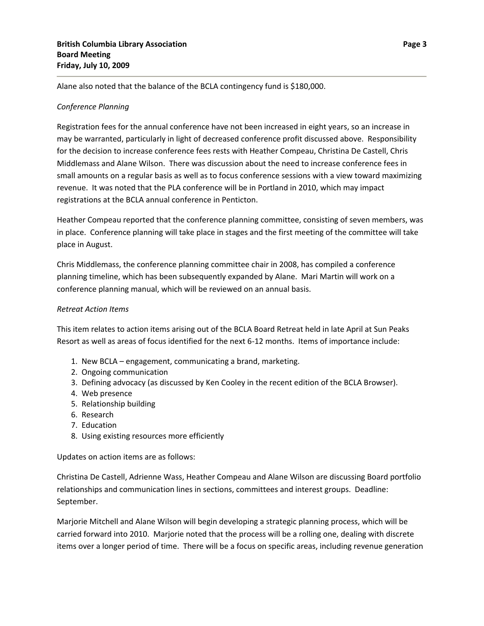Alane also noted that the balance of the BCLA contingency fund is \$180,000.

# *Conference Planning*

Registration fees for the annual conference have not been increased in eight years, so an increase in may be warranted, particularly in light of decreased conference profit discussed above. Responsibility for the decision to increase conference fees rests with Heather Compeau, Christina De Castell, Chris Middlemass and Alane Wilson. There was discussion about the need to increase conference fees in small amounts on a regular basis as well as to focus conference sessions with a view toward maximizing revenue. It was noted that the PLA conference will be in Portland in 2010, which may impact registrations at the BCLA annual conference in Penticton.

Heather Compeau reported that the conference planning committee, consisting of seven members, was in place. Conference planning will take place in stages and the first meeting of the committee will take place in August.

Chris Middlemass, the conference planning committee chair in 2008, has compiled a conference planning timeline, which has been subsequently expanded by Alane. Mari Martin will work on a conference planning manual, which will be reviewed on an annual basis.

## *Retreat Action Items*

This item relates to action items arising out of the BCLA Board Retreat held in late April at Sun Peaks Resort as well as areas of focus identified for the next 6‐12 months. Items of importance include:

- 1. New BCLA engagement, communicating a brand, marketing.
- 2. Ongoing communication
- 3. Defining advocacy (as discussed by Ken Cooley in the recent edition of the BCLA Browser).
- 4. Web presence
- 5. Relationship building
- 6. Research
- 7. Education
- 8. Using existing resources more efficiently

Updates on action items are as follows:

Christina De Castell, Adrienne Wass, Heather Compeau and Alane Wilson are discussing Board portfolio relationships and communication lines in sections, committees and interest groups. Deadline: September.

Marjorie Mitchell and Alane Wilson will begin developing a strategic planning process, which will be carried forward into 2010. Marjorie noted that the process will be a rolling one, dealing with discrete items over a longer period of time. There will be a focus on specific areas, including revenue generation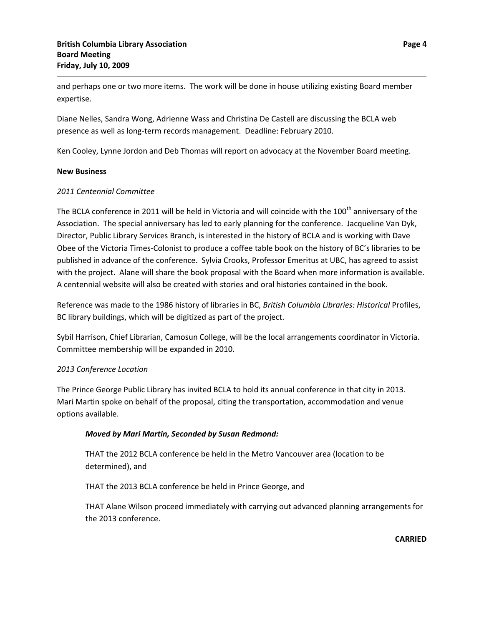and perhaps one or two more items. The work will be done in house utilizing existing Board member expertise.

Diane Nelles, Sandra Wong, Adrienne Wass and Christina De Castell are discussing the BCLA web presence as well as long‐term records management. Deadline: February 2010.

Ken Cooley, Lynne Jordon and Deb Thomas will report on advocacy at the November Board meeting.

#### **New Business**

## *2011 Centennial Committee*

The BCLA conference in 2011 will be held in Victoria and will coincide with the 100<sup>th</sup> anniversary of the Association. The special anniversary has led to early planning for the conference. Jacqueline Van Dyk, Director, Public Library Services Branch, is interested in the history of BCLA and is working with Dave Obee of the Victoria Times‐Colonist to produce a coffee table book on the history of BC's libraries to be published in advance of the conference. Sylvia Crooks, Professor Emeritus at UBC, has agreed to assist with the project. Alane will share the book proposal with the Board when more information is available. A centennial website will also be created with stories and oral histories contained in the book.

Reference was made to the 1986 history of libraries in BC, *British Columbia Libraries: Historical* Profiles, BC library buildings, which will be digitized as part of the project.

Sybil Harrison, Chief Librarian, Camosun College, will be the local arrangements coordinator in Victoria. Committee membership will be expanded in 2010.

## *2013 Conference Location*

The Prince George Public Library has invited BCLA to hold its annual conference in that city in 2013. Mari Martin spoke on behalf of the proposal, citing the transportation, accommodation and venue options available.

## *Moved by Mari Martin, Seconded by Susan Redmond:*

 THAT the 2012 BCLA conference be held in the Metro Vancouver area (location to be determined), and

THAT the 2013 BCLA conference be held in Prince George, and

 THAT Alane Wilson proceed immediately with carrying out advanced planning arrangements for the 2013 conference.

**CARRIED**